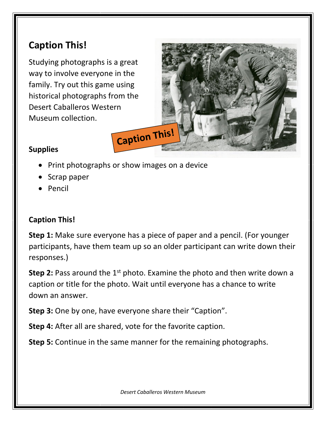## **Caption This!**

Studying photographs is a great way to involve everyone in the family. Try out this game using historical photographs from the Desert Caballeros Western Museum collection.



## **Supplies**

- Print photographs or show images on a device
- Scrap paper
- Pencil

## **Caption This!**

**Step 1:** Make sure everyone has a piece of paper and a pencil. (For younger participants, have them team up so an older participant can write down their responses.)

**Step 2:** Pass around the 1<sup>st</sup> photo. Examine the photo and then write down a caption or title for the photo. Wait until everyone has a chance to write down an answer.

**Step 3:** One by one, have everyone share their "Caption".

**Step 4:** After all are shared, vote for the favorite caption.

**Step 5:** Continue in the same manner for the remaining photographs.

*Desert Caballeros Western Museum*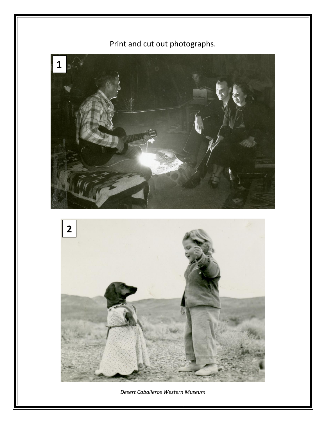



Print and cut out photographs.

*Desert Caballeros Western Museum*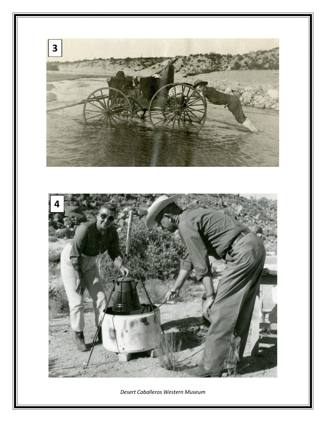